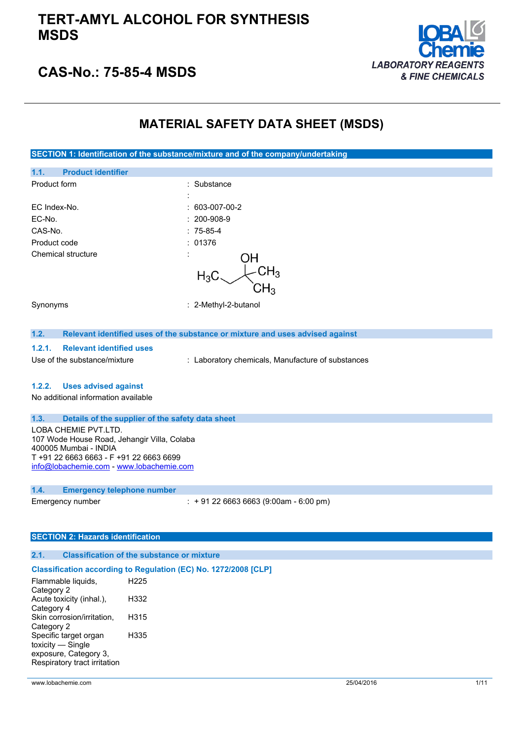### **TERT-AMYL ALCOHOL FOR SYNTHESIS MSDS**



### **CAS-No.: 75-85-4 MSDS**

### **MATERIAL SAFETY DATA SHEET (MSDS)**

**SECTION 1: Identification of the substance/mixture and of the company/undertaking**

| <b>Product identifier</b><br>1.1. |                           |
|-----------------------------------|---------------------------|
| Product form                      | : Substance               |
|                                   | $\cdot$                   |
| EC Index-No.                      | $: 603-007-00-2$          |
| EC-No.                            | $: 200-908-9$             |
| CAS-No.                           | $: 75-85-4$               |
| Product code                      | : 01376                   |
| Chemical structure                | ΟH<br>$\cdot$             |
|                                   | $\mathsf{CH}_3$<br>$H_3C$ |
|                                   | CH <sub>3</sub>           |
|                                   |                           |
| Synonyms                          | : 2-Methyl-2-butanol      |
|                                   |                           |

### **1.2. Relevant identified uses of the substance or mixture and uses advised against**

#### **1.2.1. Relevant identified uses**

Use of the substance/mixture : Laboratory chemicals, Manufacture of substances

#### **1.2.2. Uses advised against**

No additional information available

#### **1.3. Details of the supplier of the safety data sheet**

LOBA CHEMIE PVT.LTD. 107 Wode House Road, Jehangir Villa, Colaba 400005 Mumbai - INDIA T +91 22 6663 6663 - F +91 22 6663 6699 [info@lobachemie.com](mailto:info@lobachemie.com) - <www.lobachemie.com>

#### **1.4. Emergency telephone number**

Emergency number : + 91 22 6663 6663 (9:00am - 6:00 pm)

#### **SECTION 2: Hazards identification**

#### **2.1. Classification of the substance or mixture**

#### **Classification according to Regulation (EC) No. 1272/2008 [CLP]**

Flammable liquids, Category 2 H225 Acute toxicity (inhal.), Category 4 H332 Skin corrosion/irritation, Category 2 H315 Specific target organ toxicity — Single exposure, Category 3, Respiratory tract irritation H335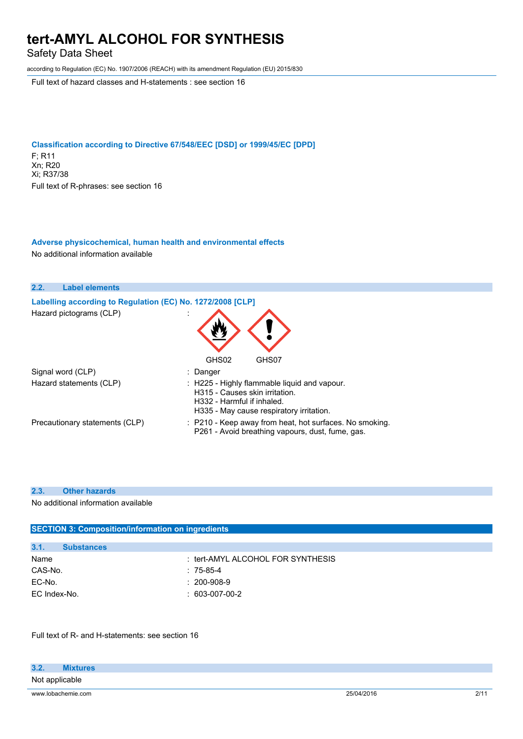Safety Data Sheet

according to Regulation (EC) No. 1907/2006 (REACH) with its amendment Regulation (EU) 2015/830

Full text of hazard classes and H-statements : see section 16

#### **Classification according to Directive 67/548/EEC [DSD] or 1999/45/EC [DPD]** F; R11 Xn; R20 Xi; R37/38 Full text of R-phrases: see section 16

#### **Adverse physicochemical, human health and environmental effects** No additional information available

| 2.2.<br><b>Label elements</b>                              |                                                                                                                                                          |
|------------------------------------------------------------|----------------------------------------------------------------------------------------------------------------------------------------------------------|
| Labelling according to Regulation (EC) No. 1272/2008 [CLP] |                                                                                                                                                          |
| Hazard pictograms (CLP)                                    |                                                                                                                                                          |
|                                                            | GHS02<br>GHS07                                                                                                                                           |
| Signal word (CLP)                                          | : Danger                                                                                                                                                 |
| Hazard statements (CLP)                                    | : H225 - Highly flammable liquid and vapour.<br>H315 - Causes skin irritation.<br>H332 - Harmful if inhaled.<br>H335 - May cause respiratory irritation. |
| Precautionary statements (CLP)                             | : P210 - Keep away from heat, hot surfaces. No smoking.<br>P261 - Avoid breathing vapours, dust, fume, gas.                                              |

#### **2.3. Other hazards**

No additional information available

| <b>SECTION 3: Composition/information on ingredients</b> |  |
|----------------------------------------------------------|--|
|                                                          |  |
|                                                          |  |
| : tert-AMYL ALCOHOL FOR SYNTHESIS                        |  |
| $: 75-85-4$                                              |  |
| $: 200 - 908 - 9$                                        |  |
| $: 603-007-00-2$                                         |  |
|                                                          |  |

Full text of R- and H-statements: see section 16

| 3.2.           | <b>Mixtures</b>    |            |                    |
|----------------|--------------------|------------|--------------------|
| Not applicable |                    |            |                    |
|                | www.lobachemie.com | 25/04/2016 | 2/11<br><u>.</u> , |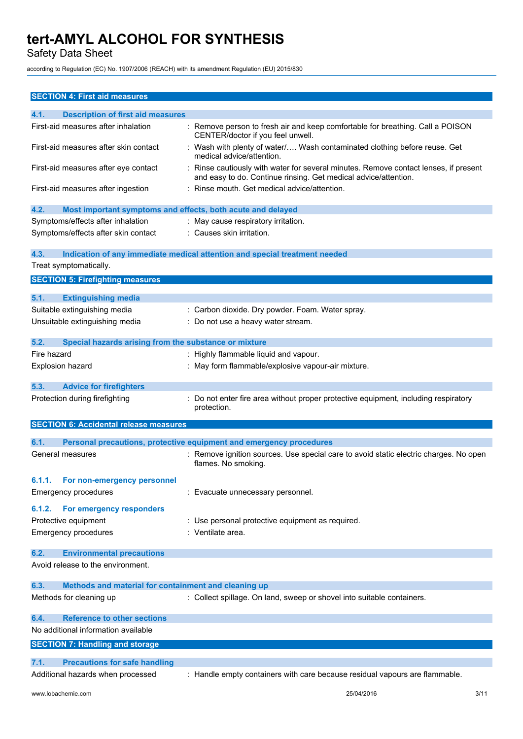Safety Data Sheet

according to Regulation (EC) No. 1907/2006 (REACH) with its amendment Regulation (EU) 2015/830

| <b>SECTION 4: First aid measures</b>                                          |                                                                                                                                                       |
|-------------------------------------------------------------------------------|-------------------------------------------------------------------------------------------------------------------------------------------------------|
| 4.1.<br><b>Description of first aid measures</b>                              |                                                                                                                                                       |
| First-aid measures after inhalation                                           | : Remove person to fresh air and keep comfortable for breathing. Call a POISON<br>CENTER/doctor if you feel unwell.                                   |
| First-aid measures after skin contact                                         | Wash with plenty of water/ Wash contaminated clothing before reuse. Get<br>medical advice/attention.                                                  |
| First-aid measures after eye contact                                          | Rinse cautiously with water for several minutes. Remove contact lenses, if present<br>and easy to do. Continue rinsing. Get medical advice/attention. |
| First-aid measures after ingestion                                            | : Rinse mouth. Get medical advice/attention.                                                                                                          |
| 4.2.<br>Most important symptoms and effects, both acute and delayed           |                                                                                                                                                       |
| Symptoms/effects after inhalation                                             | : May cause respiratory irritation.                                                                                                                   |
| Symptoms/effects after skin contact                                           | : Causes skin irritation.                                                                                                                             |
| 4.3.                                                                          | Indication of any immediate medical attention and special treatment needed                                                                            |
| Treat symptomatically.                                                        |                                                                                                                                                       |
| <b>SECTION 5: Firefighting measures</b>                                       |                                                                                                                                                       |
| 5.1.<br><b>Extinguishing media</b>                                            |                                                                                                                                                       |
| Suitable extinguishing media                                                  | : Carbon dioxide. Dry powder. Foam. Water spray.                                                                                                      |
| Unsuitable extinguishing media                                                | : Do not use a heavy water stream.                                                                                                                    |
| Special hazards arising from the substance or mixture<br>5.2.                 |                                                                                                                                                       |
| Fire hazard                                                                   | : Highly flammable liquid and vapour.                                                                                                                 |
| <b>Explosion hazard</b>                                                       | : May form flammable/explosive vapour-air mixture.                                                                                                    |
| 5.3.<br><b>Advice for firefighters</b>                                        |                                                                                                                                                       |
| Protection during firefighting                                                | : Do not enter fire area without proper protective equipment, including respiratory                                                                   |
|                                                                               | protection.                                                                                                                                           |
| <b>SECTION 6: Accidental release measures</b>                                 |                                                                                                                                                       |
| 6.1.                                                                          | Personal precautions, protective equipment and emergency procedures                                                                                   |
| General measures                                                              | : Remove ignition sources. Use special care to avoid static electric charges. No open<br>flames. No smoking.                                          |
| 6.1.1.<br>For non-emergency personnel                                         |                                                                                                                                                       |
| <b>Emergency procedures</b>                                                   | : Evacuate unnecessary personnel.                                                                                                                     |
| For emergency responders<br>6.1.2.                                            |                                                                                                                                                       |
| Protective equipment                                                          | : Use personal protective equipment as required.                                                                                                      |
| <b>Emergency procedures</b>                                                   | : Ventilate area.                                                                                                                                     |
| 6.2.<br><b>Environmental precautions</b><br>Avoid release to the environment. |                                                                                                                                                       |
| 6.3.<br>Methods and material for containment and cleaning up                  |                                                                                                                                                       |
|                                                                               |                                                                                                                                                       |
| Methods for cleaning up                                                       | : Collect spillage. On land, sweep or shovel into suitable containers.                                                                                |
| <b>Reference to other sections</b><br>6.4.                                    |                                                                                                                                                       |
| No additional information available                                           |                                                                                                                                                       |
| <b>SECTION 7: Handling and storage</b>                                        |                                                                                                                                                       |
| <b>Precautions for safe handling</b><br>7.1.                                  |                                                                                                                                                       |
| Additional hazards when processed                                             | : Handle empty containers with care because residual vapours are flammable.                                                                           |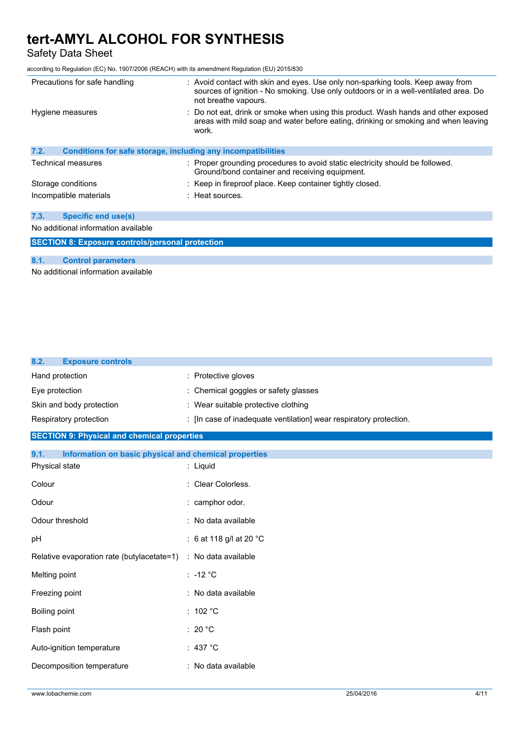Safety Data Sheet

according to Regulation (EC) No. 1907/2006 (REACH) with its amendment Regulation (EU) 2015/830

| Precautions for safe handling                                               | : Avoid contact with skin and eyes. Use only non-sparking tools. Keep away from<br>sources of ignition - No smoking. Use only outdoors or in a well-ventilated area. Do<br>not breathe vapours. |
|-----------------------------------------------------------------------------|-------------------------------------------------------------------------------------------------------------------------------------------------------------------------------------------------|
| Hygiene measures                                                            | : Do not eat, drink or smoke when using this product. Wash hands and other exposed<br>areas with mild soap and water before eating, drinking or smoking and when leaving<br>work.               |
| 7.2.<br><b>Conditions for safe storage, including any incompatibilities</b> |                                                                                                                                                                                                 |
| Technical measures                                                          | : Proper grounding procedures to avoid static electricity should be followed.<br>Ground/bond container and receiving equipment.                                                                 |
| Storage conditions                                                          | : Keep in fireproof place. Keep container tightly closed.                                                                                                                                       |
| Incompatible materials                                                      | : Heat sources.                                                                                                                                                                                 |
| 7.3.<br><b>Specific end use(s)</b>                                          |                                                                                                                                                                                                 |
| No additional information available                                         |                                                                                                                                                                                                 |
| <b>SECTION 8: Exposure controls/personal protection</b>                     |                                                                                                                                                                                                 |

#### **8.1. Control parameters**

No additional information available

| <b>Exposure controls</b><br>8.2.                              |                                                                    |
|---------------------------------------------------------------|--------------------------------------------------------------------|
| Hand protection                                               | Protective gloves                                                  |
| Eye protection                                                | Chemical goggles or safety glasses                                 |
| Skin and body protection                                      | : Wear suitable protective clothing                                |
| Respiratory protection                                        | : [In case of inadequate ventilation] wear respiratory protection. |
| <b>SECTION 9: Physical and chemical properties</b>            |                                                                    |
| 9.1.<br>Information on basic physical and chemical properties |                                                                    |
| Physical state                                                | : Liquid                                                           |
| Colour                                                        | : Clear Colorless.                                                 |
| Odour                                                         | : camphor odor.                                                    |
| Odour threshold                                               | : No data available                                                |
| pH                                                            | : 6 at 118 g/l at 20 °C                                            |
| Relative evaporation rate (butylacetate=1)                    | : No data available                                                |
| Melting point                                                 | $: -12 °C$                                                         |
| Freezing point                                                | : No data available                                                |
| Boiling point                                                 | : 102 °C                                                           |
| Flash point                                                   | : 20 $^{\circ}$ C                                                  |
| Auto-ignition temperature                                     | : 437 $^{\circ}$ C                                                 |
| Decomposition temperature                                     | : No data available                                                |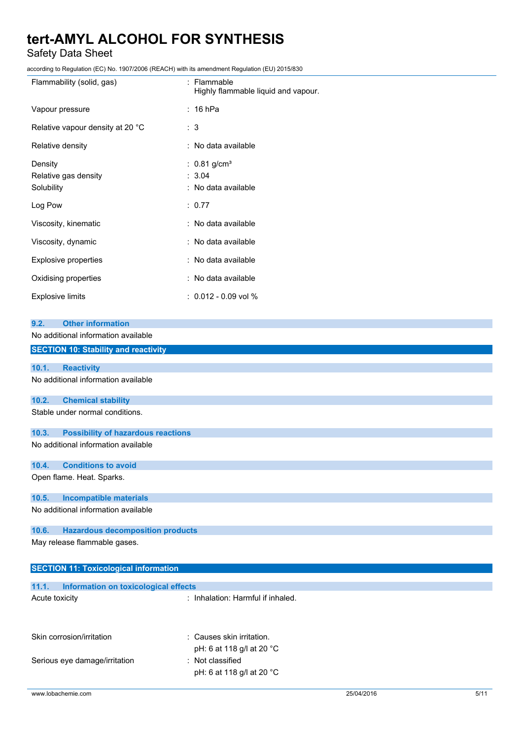Safety Data Sheet

according to Regulation (EC) No. 1907/2006 (REACH) with its amendment Regulation (EU) 2015/830

| coording to regulation (EO) No. Toon/2000 (NE/NOTT) with its amendment regulation (EO) 2010/000 |                                                             |
|-------------------------------------------------------------------------------------------------|-------------------------------------------------------------|
| Flammability (solid, gas)                                                                       | : Flammable<br>Highly flammable liquid and vapour.          |
| Vapour pressure                                                                                 | $: 16$ hPa                                                  |
| Relative vapour density at 20 °C                                                                | : 3                                                         |
| Relative density                                                                                | : No data available                                         |
| Density<br>Relative gas density<br>Solubility                                                   | : $0.81$ g/cm <sup>3</sup><br>: 3.04<br>: No data available |
| Log Pow                                                                                         | : 0.77                                                      |
| Viscosity, kinematic                                                                            | : No data available                                         |
| Viscosity, dynamic                                                                              | : No data available                                         |
| Explosive properties                                                                            | : No data available                                         |
| Oxidising properties                                                                            | : No data available                                         |
| <b>Explosive limits</b>                                                                         | $: 0.012 - 0.09$ vol %                                      |
| <b>Other information</b><br>9.2.                                                                |                                                             |
| No additional information available                                                             |                                                             |
| <b>SECTION 10: Stability and reactivity</b>                                                     |                                                             |
| 10.1.<br><b>Reactivity</b>                                                                      |                                                             |
| No additional information available                                                             |                                                             |
| <b>Chemical stability</b><br>10.2.                                                              |                                                             |
| Stable under normal conditions.                                                                 |                                                             |
| <b>Possibility of hazardous reactions</b><br>10.3.                                              |                                                             |
| No additional information available                                                             |                                                             |

#### **10.4. Conditions to avoid**

Open flame. Heat. Sparks.

#### **10.5. Incompatible materials**

No additional information available

#### **10.6. Hazardous decomposition products**

May release flammable gases.

| <b>SECTION 11: Toxicological information</b>  |                                                        |
|-----------------------------------------------|--------------------------------------------------------|
|                                               |                                                        |
| 11.1.<br>Information on toxicological effects |                                                        |
| Acute toxicity                                | : Inhalation: Harmful if inhaled.                      |
| Skin corrosion/irritation                     | : Causes skin irritation.<br>pH: 6 at 118 g/l at 20 °C |
| Serious eye damage/irritation                 | : Not classified<br>pH: 6 at 118 g/l at 20 °C          |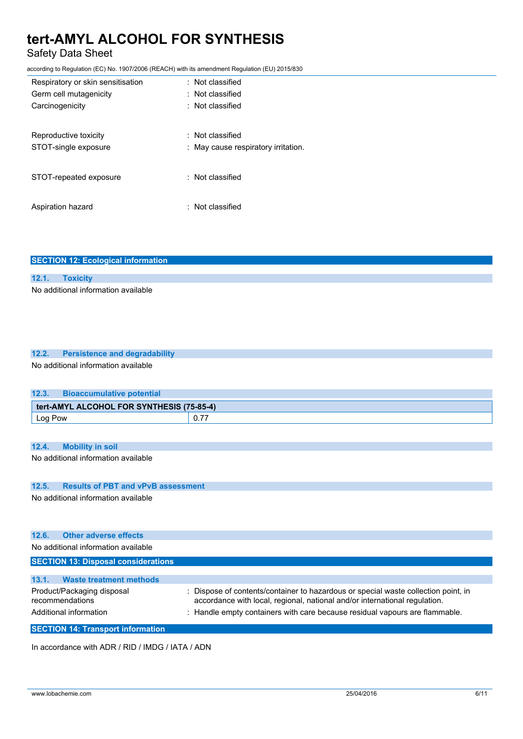### Safety Data Sheet

according to Regulation (EC) No. 1907/2006 (REACH) with its amendment Regulation (EU) 2015/830

| Respiratory or skin sensitisation | : Not classified                    |
|-----------------------------------|-------------------------------------|
| Germ cell mutagenicity            | : Not classified                    |
| Carcinogenicity                   | $\therefore$ Not classified         |
|                                   |                                     |
| Reproductive toxicity             | $\colon$ Not classified             |
| STOT-single exposure              | : May cause respiratory irritation. |
|                                   |                                     |
| STOT-repeated exposure            | $:$ Not classified                  |
|                                   |                                     |
| Aspiration hazard                 | $\pm$ Not classified                |
|                                   |                                     |

| <b>SECTION 12: Ecological information</b> |
|-------------------------------------------|
|                                           |
| 12.1. Toxicity                            |
| No additional information available       |

| 12.2. Persistence and degradability |
|-------------------------------------|
| No additional information available |

| 12.3.                                     | <b>Bioaccumulative potential</b> |  |
|-------------------------------------------|----------------------------------|--|
| tert-AMYL ALCOHOL FOR SYNTHESIS (75-85-4) |                                  |  |
| Log Pow                                   |                                  |  |

#### **12.4. Mobility in soil**

No additional information available

#### **12.5. Results of PBT and vPvB assessment**

No additional information available

| 12.6.<br><b>Other adverse effects</b><br>No additional information available                                       |                                                                                                                                                                                                                                               |
|--------------------------------------------------------------------------------------------------------------------|-----------------------------------------------------------------------------------------------------------------------------------------------------------------------------------------------------------------------------------------------|
| <b>SECTION 13: Disposal considerations</b>                                                                         |                                                                                                                                                                                                                                               |
| 13.1.<br><b>Waste treatment methods</b><br>Product/Packaging disposal<br>recommendations<br>Additional information | Dispose of contents/container to hazardous or special waste collection point, in<br>accordance with local, regional, national and/or international regulation.<br>: Handle empty containers with care because residual vapours are flammable. |

**SECTION 14: Transport information**

In accordance with ADR / RID / IMDG / IATA / ADN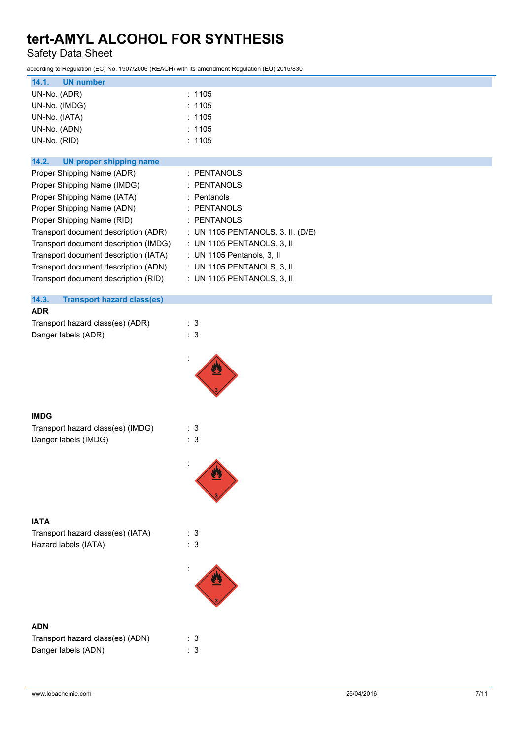Safety Data Sheet

according to Regulation (EC) No. 1907/2006 (REACH) with its amendment Regulation (EU) 2015/830

| 14.1.<br><b>UN number</b>                  |                                   |
|--------------------------------------------|-----------------------------------|
| UN-No. (ADR)                               | : 1105                            |
| UN-No. (IMDG)                              | : 1105                            |
| UN-No. (IATA)                              | : 1105                            |
| UN-No. (ADN)                               | : 1105                            |
| UN-No. (RID)                               | : 1105                            |
| 14.2.<br><b>UN proper shipping name</b>    |                                   |
| Proper Shipping Name (ADR)                 | : PENTANOLS                       |
| Proper Shipping Name (IMDG)                | : PENTANOLS                       |
| Proper Shipping Name (IATA)                | : Pentanols                       |
| Proper Shipping Name (ADN)                 | : PENTANOLS                       |
| Proper Shipping Name (RID)                 | : PENTANOLS                       |
| Transport document description (ADR)       | : UN 1105 PENTANOLS, 3, II, (D/E) |
| Transport document description (IMDG)      | : UN 1105 PENTANOLS, 3, II        |
| Transport document description (IATA)      | : UN 1105 Pentanols, 3, II        |
| Transport document description (ADN)       | : UN 1105 PENTANOLS, 3, II        |
| Transport document description (RID)       | : UN 1105 PENTANOLS, 3, II        |
| 14.3.<br><b>Transport hazard class(es)</b> |                                   |
| <b>ADR</b>                                 |                                   |
| Transport hazard class(es) (ADR)           | : 3                               |
| Danger labels (ADR)                        | : 3                               |
|                                            |                                   |
|                                            |                                   |
| <b>IMDG</b>                                |                                   |
| Transport hazard class(es) (IMDG)          | : 3                               |
| Danger labels (IMDG)                       | : 3                               |
|                                            |                                   |
|                                            |                                   |
| <b>IATA</b>                                |                                   |
| Transport hazard class(es) (IATA)          | : 3                               |
| Hazard labels (IATA)                       | $\therefore$ 3                    |
|                                            |                                   |
|                                            |                                   |
| <b>ADN</b>                                 |                                   |
| Transport hazard class(es) (ADN)           | : 3                               |
| Danger labels (ADN)                        | : 3                               |
|                                            |                                   |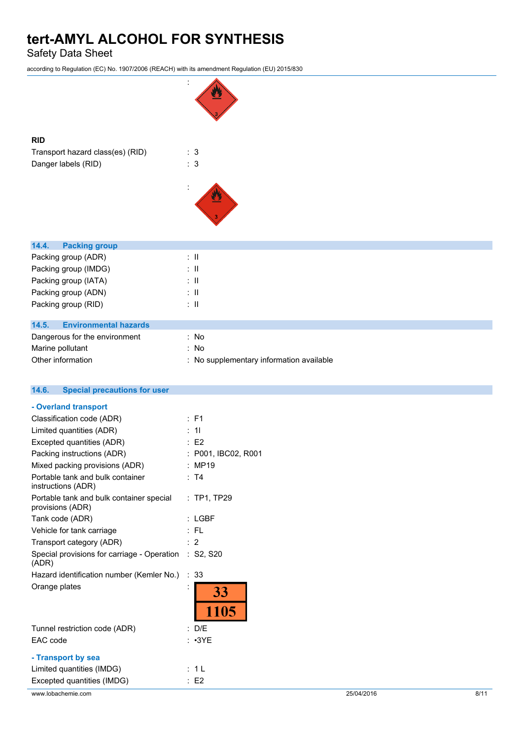Safety Data Sheet

according to Regulation (EC) No. 1907/2006 (REACH) with its amendment Regulation (EU) 2015/830



| www.lobachemie.com                                           |                     | 25/04/2016 | 8/11 |
|--------------------------------------------------------------|---------------------|------------|------|
| Excepted quantities (IMDG)                                   | $\therefore$ E2     |            |      |
| Limited quantities (IMDG)                                    | : 1L                |            |      |
| - Transport by sea                                           |                     |            |      |
| EAC code                                                     | $: \cdot3YE$        |            |      |
| Tunnel restriction code (ADR)                                | : D/E               |            |      |
|                                                              | 1105                |            |      |
| Orange plates                                                | 33                  |            |      |
| Hazard identification number (Kemler No.)                    | : 33                |            |      |
| Special provisions for carriage - Operation<br>(ADR)         | : S2, S20           |            |      |
| Transport category (ADR)                                     | : 2                 |            |      |
| Vehicle for tank carriage                                    | : FL                |            |      |
| Tank code (ADR)                                              | $:$ LGBF            |            |      |
| Portable tank and bulk container special<br>provisions (ADR) | : TP1, TP29         |            |      |
| Portable tank and bulk container<br>instructions (ADR)       | : T4                |            |      |
| Mixed packing provisions (ADR)                               | : MP19              |            |      |
| Packing instructions (ADR)                                   | : P001, IBC02, R001 |            |      |
| Excepted quantities (ADR)                                    | $\therefore$ E2     |            |      |
| Limited quantities (ADR)                                     | : 11                |            |      |
| Classification code (ADR)                                    | $\therefore$ F1     |            |      |
| - Overland transport                                         |                     |            |      |
| <b>Special precautions for user</b><br>14.6.                 |                     |            |      |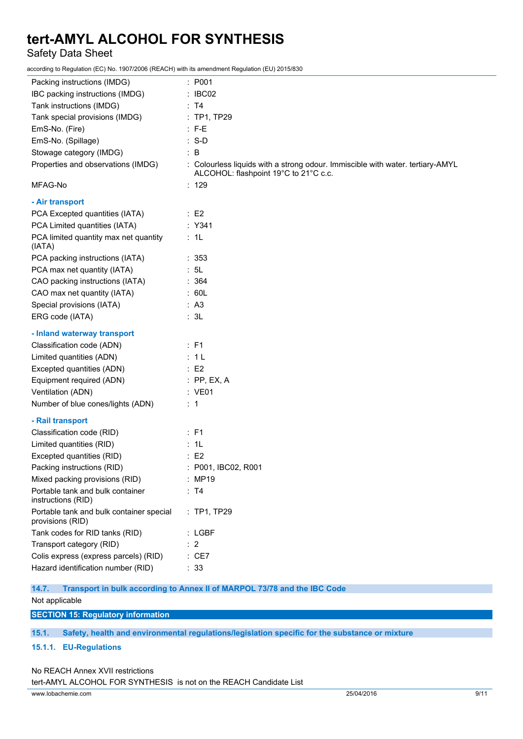Safety Data Sheet

according to Regulation (EC) No. 1907/2006 (REACH) with its amendment Regulation (EU) 2015/830

| Packing instructions (IMDG)                                  | : P001                                                                                                                  |
|--------------------------------------------------------------|-------------------------------------------------------------------------------------------------------------------------|
| IBC packing instructions (IMDG)                              | : IBCO2                                                                                                                 |
| Tank instructions (IMDG)                                     | : T4                                                                                                                    |
| Tank special provisions (IMDG)                               | : TP1, TP29                                                                                                             |
| EmS-No. (Fire)                                               | $: F-E$                                                                                                                 |
| EmS-No. (Spillage)                                           | $: S-D$                                                                                                                 |
| Stowage category (IMDG)                                      | $\therefore$ B                                                                                                          |
| Properties and observations (IMDG)                           | : Colourless liquids with a strong odour. Immiscible with water. tertiary-AMYL<br>ALCOHOL: flashpoint 19°C to 21°C c.c. |
| MFAG-No                                                      | : 129                                                                                                                   |
| - Air transport                                              |                                                                                                                         |
| PCA Excepted quantities (IATA)                               | $\therefore$ E2                                                                                                         |
| PCA Limited quantities (IATA)                                | : Y341                                                                                                                  |
| PCA limited quantity max net quantity<br>(IATA)              | : 1L                                                                                                                    |
| PCA packing instructions (IATA)                              | : 353                                                                                                                   |
| PCA max net quantity (IATA)                                  | : 5L                                                                                                                    |
| CAO packing instructions (IATA)                              | : 364                                                                                                                   |
| CAO max net quantity (IATA)                                  | : 60L                                                                                                                   |
| Special provisions (IATA)                                    | : A3                                                                                                                    |
| ERG code (IATA)                                              | : 3L                                                                                                                    |
| - Inland waterway transport                                  |                                                                                                                         |
| Classification code (ADN)                                    | : F1                                                                                                                    |
| Limited quantities (ADN)                                     | : 1L                                                                                                                    |
| Excepted quantities (ADN)                                    | $\therefore$ E2                                                                                                         |
| Equipment required (ADN)                                     | $:$ PP, EX, A                                                                                                           |
| Ventilation (ADN)                                            | : VE01                                                                                                                  |
| Number of blue cones/lights (ADN)                            | $\therefore$ 1                                                                                                          |
| - Rail transport                                             |                                                                                                                         |
| Classification code (RID)                                    | : F1                                                                                                                    |
| Limited quantities (RID)                                     | : 1L                                                                                                                    |
| Excepted quantities (RID)                                    | $\therefore$ E2                                                                                                         |
| Packing instructions (RID)                                   | : P001, IBC02, R001                                                                                                     |
| Mixed packing provisions (RID)                               | : MP19                                                                                                                  |
| Portable tank and bulk container<br>instructions (RID)       | : T4                                                                                                                    |
| Portable tank and bulk container special<br>provisions (RID) | : TP1, TP29                                                                                                             |
| Tank codes for RID tanks (RID)                               | $:$ LGBF                                                                                                                |
| Transport category (RID)                                     | $\therefore$ 2                                                                                                          |
| Colis express (express parcels) (RID)                        | : CE7                                                                                                                   |
| Hazard identification number (RID)                           | : 33                                                                                                                    |

**14.7. Transport in bulk according to Annex II of MARPOL 73/78 and the IBC Code** Not applicable

**SECTION 15: Regulatory information**

**15.1. Safety, health and environmental regulations/legislation specific for the substance or mixture**

#### **15.1.1. EU-Regulations**

#### No REACH Annex XVII restrictions

tert-AMYL ALCOHOL FOR SYNTHESIS is not on the REACH Candidate List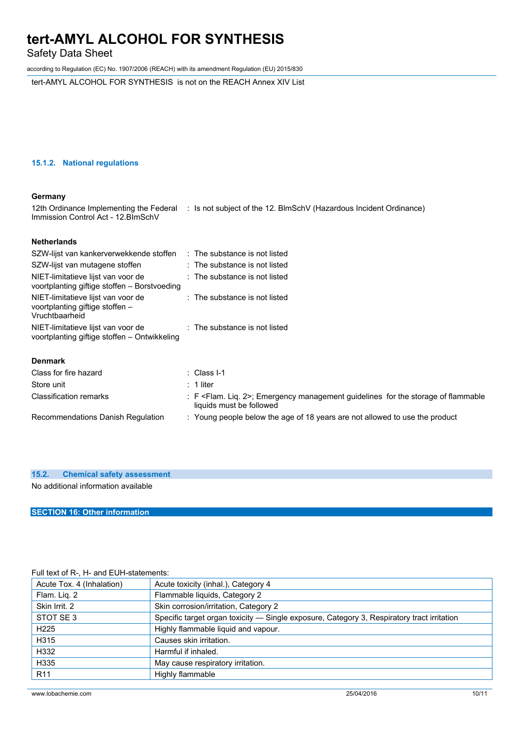Safety Data Sheet

according to Regulation (EC) No. 1907/2006 (REACH) with its amendment Regulation (EU) 2015/830

tert-AMYL ALCOHOL FOR SYNTHESIS is not on the REACH Annex XIV List

#### **15.1.2. National regulations**

#### **Germany**

| 12th Ordinance Implementing the Federal<br>Immission Control Act - 12. BlmSchV | : Is not subject of the 12. BlmSchV (Hazardous Incident Ordinance) |
|--------------------------------------------------------------------------------|--------------------------------------------------------------------|
| <b>Netherlands</b>                                                             |                                                                    |
| SZW-lijst van kankerverwekkende stoffen                                        | : The substance is not listed                                      |
| SZW-lijst van mutagene stoffen.                                                | $\cdot$ The substance is not listed.                               |

| <u>UZVV-IIISL VAITTITULAUGITE SLUITEIT</u>                                              | . THE SUDSPAINE IS TILL TISKED.                                                                                             |  |  |
|-----------------------------------------------------------------------------------------|-----------------------------------------------------------------------------------------------------------------------------|--|--|
| NIET-limitatieve lijst van voor de<br>voortplanting giftige stoffen – Borstvoeding      | $\therefore$ The substance is not listed                                                                                    |  |  |
| NIET-limitatieve lijst van voor de<br>voortplanting giftige stoffen -<br>Vruchtbaarheid | $\therefore$ The substance is not listed                                                                                    |  |  |
| NIET-limitatieve lijst van voor de<br>voortplanting giftige stoffen - Ontwikkeling      | $\therefore$ The substance is not listed                                                                                    |  |  |
| <b>Denmark</b>                                                                          |                                                                                                                             |  |  |
| Class for fire hazard                                                                   | $\therefore$ Class I-1                                                                                                      |  |  |
| Store unit                                                                              | $: 1$ liter                                                                                                                 |  |  |
| <b>Classification remarks</b>                                                           | : F <flam. 2="" lig.="">; Emergency management quidelines for the storage of flammable<br/>liquids must be followed</flam.> |  |  |

: Young people below the age of 18 years are not allowed to use the product

| Recommendations Danish Regulation |  |
|-----------------------------------|--|
|                                   |  |

#### **15.2. Chemical safety assessment**

No additional information available

#### **SECTION 16: Other information**

#### Full text of R-, H- and EUH-statements:

| Acute Tox. 4 (Inhalation) | Acute toxicity (inhal.), Category 4                                                        |
|---------------------------|--------------------------------------------------------------------------------------------|
| Flam. Liq. 2              | Flammable liquids, Category 2                                                              |
| Skin Irrit. 2             | Skin corrosion/irritation, Category 2                                                      |
| STOT SE3                  | Specific target organ toxicity — Single exposure, Category 3, Respiratory tract irritation |
| H <sub>225</sub>          | Highly flammable liquid and vapour.                                                        |
| H315                      | Causes skin irritation.                                                                    |
| H332                      | Harmful if inhaled.                                                                        |
| H335                      | May cause respiratory irritation.                                                          |
| R <sub>11</sub>           | Highly flammable                                                                           |